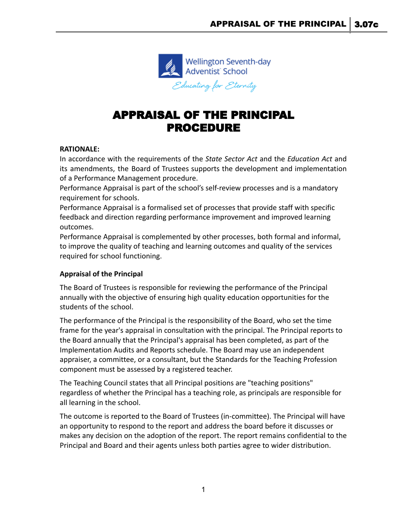

# APPRAISAL OF THE PRINCIPAL PROCEDURE

## **RATIONALE:**

In accordance with the requirements of the *State Sector Act* and the *Education Act* and its amendments, the Board of Trustees supports the development and implementation of a Performance Management procedure.

Performance Appraisal is part of the school's self-review processes and is a mandatory requirement for schools.

Performance Appraisal is a formalised set of processes that provide staff with specific feedback and direction regarding performance improvement and improved learning outcomes.

Performance Appraisal is complemented by other processes, both formal and informal, to improve the quality of teaching and learning outcomes and quality of the services required for school functioning.

## **Appraisal of the Principal**

The Board of Trustees is responsible for reviewing the performance of the Principal annually with the objective of ensuring high quality education opportunities for the students of the school.

The performance of the Principal is the responsibility of the Board, who set the time frame for the year's appraisal in consultation with the principal. The Principal reports to the Board annually that the Principal's appraisal has been completed, as part of the Implementation Audits and Reports schedule. The Board may use an independent appraiser, a committee, or a consultant, but the Standards for the Teaching Profession component must be assessed by a registered teacher.

The Teaching Council states that all Principal positions are "teaching positions" regardless of whether the Principal has a teaching role, as principals are responsible for all learning in the school.

The outcome is reported to the Board of Trustees (in-committee). The Principal will have an opportunity to respond to the report and address the board before it discusses or makes any decision on the adoption of the report. The report remains confidential to the Principal and Board and their agents unless both parties agree to wider distribution.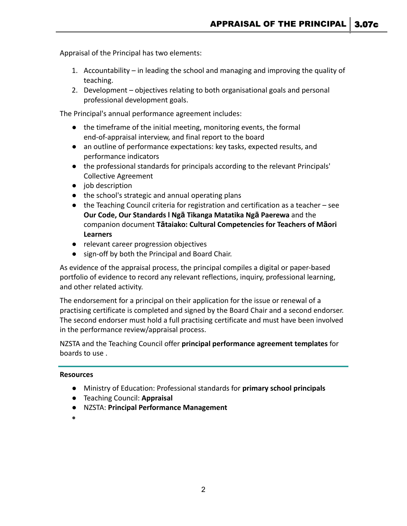Appraisal of the Principal has two elements:

- 1. Accountability in leading the school and managing and improving the quality of teaching.
- 2. Development objectives relating to both organisational goals and personal professional development goals.

The Principal's annual performance agreement includes:

- the timeframe of the initial meeting, monitoring events, the formal end-of-appraisal interview, and final report to the board
- an outline of performance expectations: key tasks, expected results, and performance indicators
- the professional standards for principals according to the relevant Principals' Collective Agreement
- job description
- the school's strategic and annual operating plans
- $\bullet$  the Teaching Council criteria for registration and certification as a teacher see **[Our Code, Our Standards l Ng](https://teachingcouncil.nz/professional-practice/our-code-our-standards/)ā Tikanga Matatika Ngā Paerewa** and the companion document **Tā[taiako: Cultural Competencies](https://teachingcouncil.nz/resource-centre/tataiako-cultural-competencies-for-teachers-of-maori-learners/) for Teachers of Māori [Learners](https://teachingcouncil.nz/resource-centre/tataiako-cultural-competencies-for-teachers-of-maori-learners/)**
- relevant career progression objectives
- sign-off by both the Principal and Board Chair.

As evidence of the appraisal process, the principal compiles a digital or paper-based portfolio of evidence to record any relevant reflections, inquiry, professional learning, and other related activity.

The endorsement for a principal on their application for the issue or renewal of a practising certificate is completed and signed by the Board Chair and a second endorser. The second endorser must hold a full practising certificate and must have been involved in the performance review/appraisal process.

NZSTA and the Teaching Council offer **[principal performance](https://www.nzsta.org.nz/advice-and-support/employment/performance-management/principal-performance-management/agreement-templates/) agreement templates** for boards to use .

#### **Resources**

- Ministry of Education: Professional standards for **[primary school principals](http://www.educationalleaders.govt.nz/Leadership-development/Professional-information/Professional-standards-primary-school-principals)**
- Teaching Council: **[Appraisal](https://teachingcouncil.nz/faqs/faqs-professional-growth-cycle/)**
- NZSTA: **[Principal Performance Management](https://www.nzsta.org.nz/advice-and-support/employment/performance-management/principal-performance-management/)**
- ●